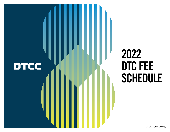

# 2022 DTC FEE **SCHEDULE**

DTCC Public (White)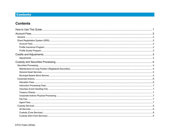# **Contents**

# **Contents**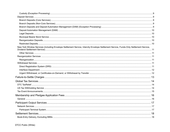| New York Window Services (including Envelope Settlement Service, Intercity Envelope Settlement Service, Funds-Only Settlement Service, |  |
|----------------------------------------------------------------------------------------------------------------------------------------|--|
|                                                                                                                                        |  |
|                                                                                                                                        |  |
|                                                                                                                                        |  |
|                                                                                                                                        |  |
|                                                                                                                                        |  |
|                                                                                                                                        |  |
|                                                                                                                                        |  |
|                                                                                                                                        |  |
|                                                                                                                                        |  |
|                                                                                                                                        |  |
|                                                                                                                                        |  |
|                                                                                                                                        |  |
|                                                                                                                                        |  |
|                                                                                                                                        |  |
|                                                                                                                                        |  |
|                                                                                                                                        |  |
|                                                                                                                                        |  |
|                                                                                                                                        |  |
|                                                                                                                                        |  |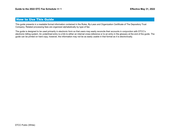# <span id="page-4-0"></span>How to Use This Guide

This guide presents in a readable format information contained in the Rules, By-Laws and Organization Certificate of The Depository Trust Company. Related processing fees are organized alphabetically by type of fee.

The guide is designed to be used primarily in electronic form so that users may easily reconcile their accounts in conjunction with DTCC's electronic billing system. An underlined entry is a link to either an internal cross-reference or to an entry in the glossary at the end of the guide. The guide can be printed on hard copy, however, the information may not be as easily usable in that format as it is electronically.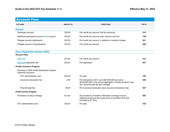<span id="page-5-0"></span>

| <b>Account Fees</b>                                                |                                  |                                                                                                                                                                |        |
|--------------------------------------------------------------------|----------------------------------|----------------------------------------------------------------------------------------------------------------------------------------------------------------|--------|
| <b>FEE NAME</b>                                                    | AMOUNT (\$)                      | <b>CONDITIONS</b>                                                                                                                                              | FEE ID |
| <b>General</b>                                                     |                                  |                                                                                                                                                                |        |
| Participant account                                                | <b>IPA: issuing/paying agent</b> | Per month per account, first five accounts                                                                                                                     | 215    |
| Additional participant account or <b>IPA</b> account               | 330.00                           | Per month per account, each account over five                                                                                                                  | 159    |
| Pledgee account (participant)                                      | 330.00                           | Per month per account, in addition to monthly charges                                                                                                          | 201    |
| Pledgee account (nonparticipant)                                   | 570.00                           | Per month per account                                                                                                                                          | 208    |
| Diz<br>limited-purpose account<br>DR<br>A <sub>t</sub>             |                                  |                                                                                                                                                                |        |
| DR<br>limited-purpose account                                      | 275.00                           | Per month per account                                                                                                                                          | 412    |
| <b>DRS LPA</b> application fee                                     | 250.00                           | Per application                                                                                                                                                | 501    |
| <b>Profile Insurance Program</b>                                   |                                  |                                                                                                                                                                |        |
| Purchase of DRS Profile Modification System<br>indemnity insurance |                                  |                                                                                                                                                                |        |
| DTC administrative cost                                            | 250.00                           | Per year                                                                                                                                                       | 165    |
| Insurance transaction fee                                          | 2.50                             | Per transaction, \$0.01 up to \$25,000,000 per event<br>(\$100,000,000 in the annual aggregate); includes Surplus Lines<br>Tax. Pass-through fee also charged. | 640    |
| Pass-through fee                                                   | 25.00                            | Per insurance transaction (plus insurance transaction fee)                                                                                                     | 647    |
| <b>Profile Surety Program</b>                                      |                                  |                                                                                                                                                                |        |
| Purchase of surety coverage                                        | At cost                          | As provided by Travelers. Alternative coverage may be<br>obtained as long as the surety bond is consistent with that<br>provided by St. Paul.                  | 502    |
| DTC administrative cost                                            | 250.00                           | Per year                                                                                                                                                       | 165    |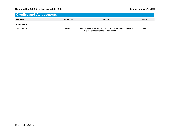# <span id="page-6-0"></span>Credits and Adjustments **FEE NAME AMOUNT (\$) CONDITIONS FEE ID** *Adjustments* LOC allocation **Amount Communist Constructs Amount based on a legal entity's proportional share of the cost 680**

of DTC's line of credit for the current month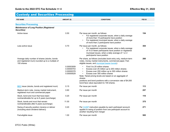<span id="page-7-0"></span>

| <b>FEE NAME</b>                                                                                                 | <b>AMOUNT (\$)</b>                                   | <b>CONDITIONS</b>                                                                                                                                                                                                                                                                                                                                                                                                                      | FEE ID |
|-----------------------------------------------------------------------------------------------------------------|------------------------------------------------------|----------------------------------------------------------------------------------------------------------------------------------------------------------------------------------------------------------------------------------------------------------------------------------------------------------------------------------------------------------------------------------------------------------------------------------------|--------|
| <b>Securities Processing</b>                                                                                    |                                                      |                                                                                                                                                                                                                                                                                                                                                                                                                                        |        |
| <b>Maintenance of Long Position (Registered</b><br>Securities)                                                  |                                                      |                                                                                                                                                                                                                                                                                                                                                                                                                                        |        |
| Active issue                                                                                                    | 0.50                                                 | Per issue per month, as follows:<br>For registered corporate issues, when a daily average<br>$\bullet$<br>of more than 15 participants have position<br>For registered municipal issues, when a daily average<br>of more than                                                                                                                                                                                                          | 154    |
| Less active issue                                                                                               | 0.70                                                 | long position billing for municipal bearer bonds:<br>Per issue per month<br>Municipal bearer bond rates apply to a municipal debt<br>For register<br>instrument that exists in bearer form. Interchangeable<br>of 15 or few<br>issues, which can exist in either bearer or registered<br>municipal is<br>form, are billed at the bearer rate, reflecting the higher<br>participants<br>costs of safekeeping interchangeable issues and |        |
| Average daily number of shares (stocks, bonds<br>and registered muni) rounded up to a multiple of<br>100 shares |                                                      | Per share, as follow<br>converting bearer position to registered form.<br>notes, money marke.<br>eligible issues, and municipal bearer bonds):                                                                                                                                                                                                                                                                                         |        |
|                                                                                                                 | 0.00003009<br>0.00000753<br>0.00000378<br>0.00000029 | First 0 to 25 million shares<br>$\bullet$<br>Excess over 25 million up to 200 million shares<br>Excess over 200 million up to 300 million shares<br>$\bullet$<br>Excess over 300 million shares<br>$\bullet$<br>Note: Tiered pricing levels are based on an aggregate of<br>shares                                                                                                                                                     |        |
| <b>BEO: book entry only</b>                                                                                     |                                                      | positions and bond positions with a conversion rate of \$4,000<br>bond face value equivalent to 100 shares.                                                                                                                                                                                                                                                                                                                            |        |
| <b>BEO</b> issue (stocks, bonds and registered muni)                                                            | 0.15                                                 | Per issue per month                                                                                                                                                                                                                                                                                                                                                                                                                    | 113    |
| Medium-term note, money market instrument,<br>registered muni and commercial paper                              | 0.60                                                 | Per issue per month                                                                                                                                                                                                                                                                                                                                                                                                                    | 257    |
| Stock, bond and muni that have been<br>nontransferable for up to 6 years (surcharge)                            | 0.20                                                 | Per issue per month                                                                                                                                                                                                                                                                                                                                                                                                                    | 119    |
| Stock, bonds and muni that remain<br>nontransferable after 6 years (surcharge)                                  | 11.00                                                | <b>CUSIP: Committee on Uniform Securities Identification Procedures; CUSIP</b><br>Per<br>number refers to a nine-character unique identifier for each security                                                                                                                                                                                                                                                                         |        |
| Swing of security position (receive or deliver<br>(including stock dividend deliver))                           | 0.20                                                 | Per CUSIP instruction payable by each participant account;<br>applies to swing of position from one participant account to<br>another resulting from merger                                                                                                                                                                                                                                                                            | 271    |
| Fed-eligible issue                                                                                              | 1.00                                                 | Per issue per month                                                                                                                                                                                                                                                                                                                                                                                                                    | 585    |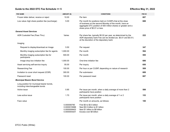# <span id="page-8-0"></span>**Guide to the 2022 DTC Fee Schedule >> 5 Effective May 31, 2022**

| <b>FEE NAME</b>                                                              | AMOUNT (\$)                                                 | <b>CONDITIONS</b>                                                                                                                                                                                                     | <b>FEE ID</b> |
|------------------------------------------------------------------------------|-------------------------------------------------------------|-----------------------------------------------------------------------------------------------------------------------------------------------------------------------------------------------------------------------|---------------|
| Frozen letter deliver, receive or reject                                     | 10.00                                                       | Per item                                                                                                                                                                                                              | 607           |
| Low value–high share position fee (surcharge)                                | 5.00                                                        | Per month for positions held on CUSIPs that at the close<br>of business on the second Monday of the month, have an<br>aggregate DTC position of 500 million shares or greater and a<br>share price of \$0.01 or less. | 688           |
| <b>General Asset Services</b>                                                |                                                             |                                                                                                                                                                                                                       |               |
| ADR Custodial Fee (Pass Thru)                                                | Varies                                                      | Per share fee, typically \$0.02 per year, as determined by the<br>ADR depositary bank Fee can be divided (ex. \$0.01 and \$0.01)<br>at the discretion of the depositary bank                                          | 222           |
| Imaging                                                                      |                                                             |                                                                                                                                                                                                                       |               |
| Request to display/download an Image                                         | 5.50                                                        | Per request                                                                                                                                                                                                           | 347           |
| Monthly imaging subscription fee for agents                                  | 1,000.00                                                    | Per month                                                                                                                                                                                                             | 594           |
| Monthly imaging subscription fee for<br>participants                         | 500.00                                                      | Per month                                                                                                                                                                                                             | 595           |
| Image drop box initiation fee                                                | 1,000.00                                                    | One-time initiation fee                                                                                                                                                                                               | 686           |
| Asset servicing self-service inquiry                                         | 55.00                                                       | Per inquiry                                                                                                                                                                                                           | 650           |
| Researching Fee                                                              | 100.00                                                      | Per hour or per CUSIP, depending on nature of research                                                                                                                                                                | 509           |
| Invitation to cover short request (ICSR)                                     | 300.00                                                      | Per submission                                                                                                                                                                                                        | 689           |
| Password reset                                                               | 100.00                                                      | Per password reset                                                                                                                                                                                                    | 687           |
| <b>Municipal Bearer Bond Service</b>                                         |                                                             |                                                                                                                                                                                                                       |               |
| Long position for municipal bearer bonds,<br>including interchangeable bonds |                                                             |                                                                                                                                                                                                                       |               |
| Active issue                                                                 | 0.85                                                        | Per issue per month, when a daily average of more than 2<br>participants have position                                                                                                                                | 588           |
| Less active issue                                                            | 1.70                                                        | Per issue per month, when a daily average of 1 or 2<br>participants have position                                                                                                                                     | 153           |
| Face value                                                                   |                                                             | Per month on amounts, as follows:                                                                                                                                                                                     | 100           |
|                                                                              | 0.000006790<br>0.0000016988<br>0.0000008402<br>0.0000004201 | First \$0 to \$0.5 billion<br>Next \$0.5 billion to \$1 billion<br>Next \$1 billion to \$8 billion<br>Excess over \$8 billion                                                                                         |               |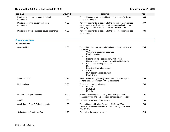# <span id="page-9-0"></span>**Guide to the 2022 DTC Fee Schedule >> 6 Effective May 31, 2022**

| <b>FEE NAME</b>                                          | AMOUNT (\$) | <b>CONDITIONS</b>                                                                                                                                                                                                                                                                                                                                                                                                              | FEE ID |
|----------------------------------------------------------|-------------|--------------------------------------------------------------------------------------------------------------------------------------------------------------------------------------------------------------------------------------------------------------------------------------------------------------------------------------------------------------------------------------------------------------------------------|--------|
| Positions in certificates bound in a book<br>(surcharge) | 1.05        | Per position per month, in addition to the per issue (active or<br>less active) charge                                                                                                                                                                                                                                                                                                                                         | 380    |
| Positions requiring coupon collection<br>(surcharge)     | 0.25        | Per issue per month, in addition to the per issue (active or less<br>active) charge; applies to issues with coupons collected from<br>paying agents outside the New York metropolitan area                                                                                                                                                                                                                                     | 377    |
| Positions in multiple-purpose issues (surcharge)         | 0.50        | Per issue per month, in addition to the per-issue (active or less<br>active) charge                                                                                                                                                                                                                                                                                                                                            | 381    |
| <b>Corporate Actions</b>                                 |             |                                                                                                                                                                                                                                                                                                                                                                                                                                |        |
| <b>Allocation Fees</b>                                   |             |                                                                                                                                                                                                                                                                                                                                                                                                                                |        |
| Cash Dividend                                            | 1.80        | Per credit for cash, pro-rata principal and interest payment for<br>the following:<br>Conforming structured securities<br>$\bullet$<br><b>Equity securities</b><br>CD<br>Floating payable date security (ARP, ARN)<br>$\bullet$<br>Non-conforming structured securities (ABS/CMO)<br>P&I non-conforming securities<br>MMI<br>Registered municipal issues<br><b>VRDO</b><br>Muni bearer interest payment<br><b>Equity Units</b> | 704    |
| <b>Stock Dividend</b>                                    | 13.75       | Stock Distributions (including stock dividends, stock splits,<br>spinoffs and dividend reinvestment allocations)                                                                                                                                                                                                                                                                                                               | 705    |
| Redemptions                                              | 17.00       | Per allocation for the following:<br>Full call<br>Partial call<br>Maturity                                                                                                                                                                                                                                                                                                                                                     | 706    |
| <b>Mandatory Corporate Actions</b>                       | 75.00       | Mandatory exchanges, including mandatory puts, name<br>changes/swings and sale of Rights per participant position                                                                                                                                                                                                                                                                                                              | 707    |
| <b>IVORS</b>                                             | 2.00        | Per redemption, sale or transaction                                                                                                                                                                                                                                                                                                                                                                                            | 708    |
| Stock, Loan, Repo & Fail Adjustments                     | 1.50        | Per credit and debit; also, for certain CMO and ABS<br>transactions resettled with correct factor, through CTAS via<br>PTS or PBS                                                                                                                                                                                                                                                                                              | 709    |
| ClaimConnect <sup>™</sup> Matching Fee                   | 1.75        | Per each claim side, after match                                                                                                                                                                                                                                                                                                                                                                                               | 710    |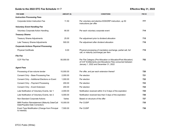# <span id="page-10-0"></span>**Guide to the 2022 DTC Fee Schedule >> 7 Effective May 31, 2022**

| <b>FEE NAME</b>                                                                 | AMOUNT (\$) | <b>CONDITIONS</b>                                                                                                                                                       | <b>FEE ID</b> |
|---------------------------------------------------------------------------------|-------------|-------------------------------------------------------------------------------------------------------------------------------------------------------------------------|---------------|
| <b>Instruction Processing Fees</b>                                              |             |                                                                                                                                                                         |               |
| Corporate Action Instruction Fee                                                | 11.50       | Per voluntary and elective EDS/DRP instruction, up 50<br>instructions per offer                                                                                         | 777           |
| <b>Voluntary Event Handling Fee</b>                                             |             |                                                                                                                                                                         |               |
| <b>Voluntary Corporate Action Handling</b>                                      | 90.00       | Per each voluntary corporate event                                                                                                                                      | 714           |
| <b>Treasury Shares</b>                                                          |             |                                                                                                                                                                         |               |
| <b>Treasury Shares Adjustments</b>                                              | 25.00       | Per adjustment prior to dividend allocation                                                                                                                             | 715           |
| Late Treasury Shares Adjustments                                                | 500.00      | Per adjustment after dividend allocation                                                                                                                                | 716           |
| <b>Corporate Actions Physical Processing</b>                                    |             |                                                                                                                                                                         |               |
| <b>Physical Certificate</b>                                                     | 6.00        | Physical processing of mandatory exchange, partial call, full<br>call, or maturity (surcharge) per item                                                                 | 719           |
| <b>File Fee</b>                                                                 |             |                                                                                                                                                                         |               |
| <b>CCF File Fee</b>                                                             | 50,000.00   | Per File Category (Pre-Allocation or Allocation/Post Allocation)<br>of CCF Entitlements and Allocations Files consumed between<br>January 1, 2022 and December 31, 2022 | 752           |
| <b>Agent Fees</b>                                                               |             |                                                                                                                                                                         |               |
| Processing of low-volume tender                                                 | 10,000.00   | Per offer, and per each extension thereof                                                                                                                               | 720           |
| Consent Only - Base Processing Fee                                              | 2,000.00    | Per election                                                                                                                                                            | 721           |
| Consent Only - Additional Elections on Event                                    | 1,000.00    | Per election                                                                                                                                                            | 722           |
| Consent Only - Payment Processing                                               | 200.00      | Per election                                                                                                                                                            | 723           |
| Consent Only - Event Extension                                                  | 200.00      | Per election                                                                                                                                                            | 724           |
| Late Notification of Voluntary Events, tier 1                                   | 2,000.00    | Notification received within 5 to 9 days of the expiration                                                                                                              | 725           |
| Late Notification of Voluntary Events, tier 2                                   | 5,000.00    | Notification received less than 5 days of the expiration                                                                                                                | 726           |
| Non-Standard Corporate Actions                                                  | Varies      | Based on structure of the offer                                                                                                                                         | 727           |
| MMI Position Reinstatement (Maturity Date/Call<br>Date/Payable Date Correction) | 10,000.00   | Per CUSIP                                                                                                                                                               | 735           |
| Event Type Modification (Change from Principal<br>to Interest)                  | 7,500.00    | Per CUSIP                                                                                                                                                               | 736           |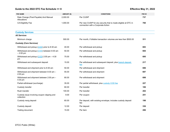# <span id="page-11-0"></span>**Guide to the 2022 DTC Fee Schedule >> 8 Effective May 31, 2022**

| <b>FEE NAME</b>                                                          | AMOUNT (\$) | <b>CONDITIONS</b>                                                                                    | FEE ID                                         |  |
|--------------------------------------------------------------------------|-------------|------------------------------------------------------------------------------------------------------|------------------------------------------------|--|
| Rate Change (Post-Payable) And Manual<br>Allocations                     | 2,000.00    | Per CUSIP                                                                                            | 737                                            |  |
| CA Eligibility Fee                                                       | 1,000.00    | Per new CUSIP for any security that is made eligible at DTC in<br>connection with a Corporate Action | 760                                            |  |
| <b>Custody Services</b>                                                  |             |                                                                                                      |                                                |  |
| <b>All Services</b>                                                      |             |                                                                                                      |                                                |  |
| Minimum charge                                                           | 500.00      | Per month, if billable transaction volumes are less than \$500.00                                    | 511                                            |  |
| <b>COD: certificate on demand</b><br><b>Custody (Core Services)</b>      |             |                                                                                                      |                                                |  |
| <b>COD: certificate on demand</b><br>Withdrawal and pickup               | 00          | Per withdrawal and pickup                                                                            | 693                                            |  |
| Withdrawal and pickup<br><b>COD: certificate on demand</b><br>$-2:00$ pm | 00          | Per withdrawal and pickup                                                                            | 694                                            |  |
| Withdrawal and pickup $(COD)$ 2:00 pm - 4:30                             | 75.00       | Per withdrawal and pickup                                                                            | <b>Anch Deposits (Core Services) on page 9</b> |  |
| pm                                                                       |             | See Branch Deposits (Core Services) on page 9                                                        |                                                |  |
| Withdrawal and subsequent deposit                                        | 15.00       | <i>z</i> posit<br>fee                                                                                | 217                                            |  |
| Withdrawal and shipment prior to 8:30 am                                 | 50.00       | Per withdrawal and shipment                                                                          | 696                                            |  |
| Withdrawal and shipment between 8:30 am -<br>2:00 pm                     | 55.00       | Per withdrawal and shipment                                                                          | 697                                            |  |
| Withdrawal and shipment between 2:00 pm -<br>4:30 pm                     | 80.00       | Per withdrawal and shipmer<br><b>See Custody (Core Services) above</b>                               | 698                                            |  |
| Partial withdrawal (surcharge)                                           | 35.00       | Per partial withdrawal, plus custody COD fee                                                         | 227                                            |  |
| Custody transfer                                                         | 80.00       | Per transfer                                                                                         | 106                                            |  |
| Rush transfer                                                            | 100.00      | Per transfer                                                                                         | 202                                            |  |
| Custody issue involving coupon clipping and<br>collection                | 9.00        | Per coupon                                                                                           | 251                                            |  |
| Custody reorg deposit                                                    | 60.00       | Per deposit, with existing envelope; includes custody deposit<br>fee                                 | 198                                            |  |
| Custody deposit                                                          | 12.00       | Per deposit                                                                                          | 336                                            |  |
| Trailing document                                                        | 15.00       | Per item                                                                                             | 286                                            |  |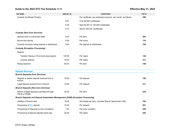# <span id="page-12-0"></span>**Guide to the 2022 DTC Fee Schedule >> 9 Effective May 31, 2022**

| <b>FEE NAME</b>                                            | AMOUNT (\$) | <b>CONDITIONS</b>                                                                                               | FEE ID |
|------------------------------------------------------------|-------------|-----------------------------------------------------------------------------------------------------------------|--------|
| <b>Custody Certificate Position</b>                        |             | Per certificate, per participant account, per month, as follows:                                                | 398    |
|                                                            | 0.61        | First 50,000 Certificates                                                                                       |        |
|                                                            | 0.20        | Next 50,001 to 100,000 Certificates                                                                             |        |
|                                                            | 0.10        | Above 100,001 Certificates                                                                                      |        |
| <b>Custody (Non-Core Services)</b>                         |             |                                                                                                                 |        |
| Special mail or customized letter                          | 6.50        | Per item                                                                                                        | 283    |
| Box-to-box activity                                        | 9.00        | Per move                                                                                                        | 116    |
| Custody inventory swing deposit or withdrawal              | 8.00        | Per deposit or withdrawal                                                                                       | 700    |
| <b>Custody (Exception Processing)</b>                      |             |                                                                                                                 |        |
| Rejects                                                    |             |                                                                                                                 |        |
| Transfer, Reorg or Front end reorg rejects                 | 125.00      | Per reject                                                                                                      | 120    |
| Custody deposit                                            | 75.00       | Per reject                                                                                                      | 311    |
| Reorg research                                             | 80.00       | Per item                                                                                                        | 156    |
|                                                            |             |                                                                                                                 |        |
| <b>Deposit Services</b>                                    |             |                                                                                                                 |        |
| <b>Branch Deposits (Core Services)</b>                     |             |                                                                                                                 |        |
| Regular or bearer deposit received from a<br>branch        | 18.00       | Per deposit                                                                                                     | 199    |
| Legal deposit received from a branch                       | 75.00       | Per deposit                                                                                                     | 317    |
| <b>Branch Deposits (Non-Core Services)</b>                 |             |                                                                                                                 |        |
| Return of legal deposits submitted through<br>PELD or PEND | 30.00       | Per item                                                                                                        | 235    |
| <b>Branch Deposit</b>                                      |             | SIC: Securities Information Center; a centralized database by the Securities and                                |        |
| Addition of bra                                            |             | <b>Exchange Commission to report lost, stolen, missing and counterfeit securities</b><br>inch deposit fee (199) | 162    |
| Processing of <b>SIC</b> deposit                           | 15.00       | Per deposit                                                                                                     | 261    |
| Processing of response to error conditions                 | 1.00        | Per error condition                                                                                             | 228    |
| Processing of deposit rejected same day                    | 25.00       | Per reject                                                                                                      | 245    |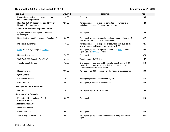# <span id="page-13-0"></span>**Guide to the 2022 DTC Fee Schedule >> 10 Effective May 31, 2022**

| <b>FEE NAME</b>                                                          | AMOUNT (\$) | <b>CONDITIONS</b>                                                                                                                                                 | FEE ID                       |
|--------------------------------------------------------------------------|-------------|-------------------------------------------------------------------------------------------------------------------------------------------------------------------|------------------------------|
| Processing of trailing documents or items<br>submitted through PEND      | 15.00       | Per item                                                                                                                                                          | 285                          |
| Rejected BDS TA deposit, Rejected DAM or<br>Rejected Reorg deposits      | 125.00      | Per deposit; applies to deposit corrected or returned to a<br>participant because of the participant's error                                                      | 120                          |
| <b>Deposit Automation Management (DAM)</b>                               |             |                                                                                                                                                                   |                              |
| Registered certificate deposit or Previous<br>reverse split              | 12.00       | Per deposit                                                                                                                                                       | 133                          |
| Record date or cutoff date deposit (surcharge)                           | 30.00       | Per deposit; applies to deposits made on record date or cutoff<br>date for the distribution of any entitlement                                                    | 327                          |
| <b>FAST: Fast Automated Se</b> DWAC: Deposit and Withdrawal at Custodian |             | sit; applies to deposits of securities<br>metro<br><b>DWAC: Deposit and Withdrawal at Custodian</b>                                                               | <b>d Securities Transfer</b> |
| <b>FAST</b> transfer agent deposit (DWAC)                                | 3.00        | Per deposit; app.<br>agent using the <b>DWAC</b> service                                                                                                          | 404                          |
| Nontransferable issue                                                    | 75.00       | Per deposit                                                                                                                                                       | 376                          |
| TA DWAC FEE Deposit (Pass Thru)                                          | Varies      | Transfer agent DWAC fee                                                                                                                                           | 157                          |
| Transfer agent charges                                                   | Varies      | Chargeback of fees charged by transfer agent, plus a \$1.00<br>transaction fee; applies to cancellation and issuance of<br>certificates of certain listed issues. | 513                          |
| Researching fee                                                          | 100.00      | Per hour or CUSIP, depending on the nature of the research                                                                                                        | 509                          |
| <b>Legal Deposits</b>                                                    |             |                                                                                                                                                                   |                              |
| Full-service deposit                                                     | 130.00      | Per deposit; includes examination by DTC                                                                                                                          | 313                          |
| Basic deposit                                                            | 50.00       | Per deposit; excludes examination by DTC                                                                                                                          | 386                          |
| <b>Municipal Bearer Bond Service</b>                                     |             |                                                                                                                                                                   |                              |
| Deposit                                                                  | 30.00       | Per deposit, up to 150 certificates                                                                                                                               | 135                          |
| <b>Reorganization Deposits</b>                                           |             |                                                                                                                                                                   |                              |
| Mandatory, Redemption or Call Deposits<br>(regular or legal)             | 60.00       | Per deposit                                                                                                                                                       | 219                          |
| <b>Restricted Deposits</b>                                               |             |                                                                                                                                                                   |                              |
| Restricted deposit                                                       |             |                                                                                                                                                                   |                              |
| Before 2:00 p.m.                                                         | 60.00       | Per deposit                                                                                                                                                       | 230                          |
| After 2:00 p.m. eastern time                                             | 80.00       | Per deposit, plus pass-through fees imposed by the transfer<br>agent                                                                                              | 641                          |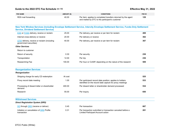# <span id="page-14-0"></span>**Guide to the 2022 DTC Fee Schedule >> 11 Effective May 31, 2022**

| <b>FEE NAME</b>     | AMOUNT (\$) | <b>CONDITIONS</b>                                              | FEE ID |
|---------------------|-------------|----------------------------------------------------------------|--------|
| RDS mail forwarding | 40.00       | Per item; applies to completed transfers returned by the agent | 129    |
|                     |             | and mailed by DTC to the participant's customer                |        |

| N <sub>0</sub><br><b>FOSS: Funds-Only Settlement Service</b><br><b>ESS:</b><br>$S_6$                                        |         | <b>e Settlement Service, Intercity Envelope Settlement Service, Funds-Only Settlement</b>                            |     |
|-----------------------------------------------------------------------------------------------------------------------------|---------|----------------------------------------------------------------------------------------------------------------------|-----|
| ESS or FOSS delivery receive or reclaim                                                                                     | 25.00   | Per delivery, per receive or per item for reclaim                                                                    | 408 |
| <b>OTW: over-the-window</b><br>ive                                                                                          | 20.00   | Per delivery or receive                                                                                              | 362 |
| OTW delivery, receive or reclaim (including<br>government securities)                                                       | 40.00   | Per delivery, per receive or per item for reclaim                                                                    | 367 |
| <b>Other Services</b>                                                                                                       |         |                                                                                                                      |     |
| Return to customer                                                                                                          |         |                                                                                                                      |     |
| Return of security                                                                                                          | 0.30    | Per security                                                                                                         | 238 |
| Transportation                                                                                                              | 12.00   | Per trip                                                                                                             | 236 |
| Researching Fee                                                                                                             | 100.00  | Per hour or CUSIP, depending on the nature of the research                                                           | 509 |
| <b>Reorganization Services</b>                                                                                              |         |                                                                                                                      |     |
| Reorganization                                                                                                              |         |                                                                                                                      |     |
| Shipping charge for early CD redemption                                                                                     | At cost |                                                                                                                      | 525 |
| Proxy record date meeting                                                                                                   | 1.00    | Per participant record date position; applies to holders<br>identified on the record date capture for proxy meetings | 533 |
| Processing of dissent letter or shareholder<br>demand                                                                       | 400.00  | Per dissent letter or shareholder demand processed                                                                   | 534 |
| Research                                                                                                                    | 55.00   | Per inquiry                                                                                                          | 650 |
| <b>DO: deliv DRS: Direct Registration System</b><br>Di<br><b>DRS: Direct Registration System</b><br>DO through DRS (receive |         | Per transaction                                                                                                      | 667 |
| Initiation or cancellation of <b>DRS</b> Profile<br>transaction                                                             | 0.31    | Per transaction submitted or transaction canceled before a<br>Limited Participant Account action                     | 281 |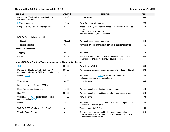# <span id="page-15-0"></span>**Guide to the 2022 DTC Fee Schedule >> 12 Effective May 31, 2022**

| <b>FEE NAME</b>                                                | AMOUNT (\$)                                      | <b>CONDITIONS</b>                                                                                                                                           | FEE ID |
|----------------------------------------------------------------|--------------------------------------------------|-------------------------------------------------------------------------------------------------------------------------------------------------------------|--------|
| <b>LPA: limited-purpose account</b>                            | 0.10<br>iv Limited                               | Per transaction                                                                                                                                             | 539    |
| LPA pass-through                                               | 0.75                                             | Per DRS Profile DO received                                                                                                                                 | 669    |
| LPA pass-through disbursement (rebate)                         | Varies                                           | Based on activity associated with fee 669. Amounts rebated as<br>follows:<br>2,000 or more deals: \$2,080<br>Between 200 and 2,000 deals: \$800             | 670    |
| DRS Profile centralized reject billing                         |                                                  |                                                                                                                                                             |        |
| Reject                                                         | At cost                                          | Per reject; pass-through agent fee                                                                                                                          | 644    |
| Reject collection                                              | Varies                                           | Per reject; amount charged is 5 percent of transfer agent fee                                                                                               | 645    |
| <b>Interface Department</b>                                    |                                                  |                                                                                                                                                             |        |
| Shipping                                                       | 90.00                                            | Per month                                                                                                                                                   | 335    |
| Mailing                                                        | At cost                                          | Postage incurred to forward work to participant. Participants<br>can choose to provide for their own courier service.                                       | 535    |
| <b>COD: certificate on demand</b><br>Uı                        | on-Demand, or Withdrawal by Transfer             |                                                                                                                                                             |        |
| <b>COD</b>                                                     | 300.00                                           | Per withdrawal/COD                                                                                                                                          | 233    |
| Physical (<br><b>COD: certificate on demand</b><br>(interface) | 500.00<br>uest                                   | <b>ditional</b><br>Per request or assign<br><b>COD: certificate on demand</b>                                                                               | 284    |
| Rejected COD                                                   | 125.00                                           | Per reject; applies to CODs corrected or returned to a<br>participant because of participant error                                                          | 120    |
| Vault exit fee                                                 | 40.00                                            | Per withdrawal                                                                                                                                              | 684    |
| Direct mail by transfer agent (DMA)                            |                                                  |                                                                                                                                                             |        |
| Direct Registration Statement                                  | 5 00                                             | Per assignment; excludes transfer agent charges                                                                                                             | 342    |
| Rush WT                                                        | <b>DWAC: Denosit and Withdrawal at Custodian</b> | Per assignment, plus additional transfer fees charged by agent                                                                                              | 243    |
| Withdraw<br><b>WT: withdrawal-by-transfer</b><br>custodian     |                                                  | Per withdrawal                                                                                                                                              | 403    |
| Rejected WT                                                    | 125.00                                           | Per reject; applies to WTs corrected or returned to a participant<br>because of participant error                                                           | 120    |
| TA DWAC FEE Withdrawal (Pass Thru)                             | Varies                                           | Transfer agent DWAC fee                                                                                                                                     | 158    |
| <b>Transfer Agent Charges</b>                                  | Varies                                           | Chargeback of fees charged by the transfer agent, plus<br>\$1.00 transaction fee; Applies to cancellation and issuance of<br>certificates of certain issues | 513    |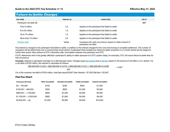# <span id="page-16-0"></span>Failure-to-Settle Charges

| <b>FEE NAME</b>            | AMOUNT (\$) | <b>CONDITIONS</b>                                                                  | FEE ID |
|----------------------------|-------------|------------------------------------------------------------------------------------|--------|
| Participant net debit (\$) |             |                                                                                    | 537    |
| First 5 million            | 2.0         | Applies to the participant that failed to settle                                   |        |
| 6 to 25 million            | 1.5         | Applies to the participant that failed to settle                                   |        |
| 25 to 75 million           | 1.0         | Applies to the participant that failed to settle                                   |        |
| More than 75 million       | 0.5         | Applies to the participant that failed to settle                                   |        |
| Flat fee chart             | Varies      | Increases with each occurrence, based on dollar amount of<br>participant net debit |        |

Fee interest is charged to the participant that failed to settle, in addition to the interest charged for the cost of borrowing to complete settlement. The number of occasions will be determined over a moving three-month period. A participant that exceeds four failure-to-settle occasions in a 3-month period will be subject to further fees and/or other actions at DTC's discretion after consultation between the participant and DTC.

If DTC determines that it had greatly affected a participant's ability to settle (because of a DTC system delay, for example), DTC will waive failure-to-settle fees for that occurrence.

Example: Interest is calculated overnight on a 360 day/year basis. Charges equal fee interest plus a flat fee, based on the amount of net debit in U.S. dollars. For a net debit of \$100 million, fee interest is calculated as follows:

| $[(\$5,000,000 \times 0.02) + (\$20,000,000 \times 0.015) + (\$50,000,000 \times 0.01) + (\$25,000,000 \times 0.005]$                        | $= 2.847$ |
|----------------------------------------------------------------------------------------------------------------------------------------------|-----------|
| 360                                                                                                                                          |           |
| $\blacktriangledown$ See Flat Fee Chart below $\nabla$<br>million, total fees equal \$2,847 (fee interest) $+$ \$1,000 (flat fee) = \$3,847. |           |
| <b>Flat Fee Chart</b>                                                                                                                        |           |

### $F1a$

| <b>Participant Net Debit</b> | <b>FIRST OCCASION</b> | <b>SECOND OCCASION</b> | <b>THIRD OCCASION</b> | <b>FOURTH OCCASION</b> |
|------------------------------|-----------------------|------------------------|-----------------------|------------------------|
| $$0 - 100,000$               | \$100                 | \$200                  | \$500                 | \$1,000                |
| $$100,001 - 900,000$         | \$300                 | \$600                  | \$1.500               | \$3,000                |
| $$900.001 - 1,700.000$       | \$600                 | \$1.200                | \$3,000               | \$6,000                |
| $$1,700,001 - 2,500,000$     | \$900                 | \$1,800                | \$4.500               | \$9,000                |
| $$2,500,001 - Up$            | \$1,000               | \$2,000                | \$5,000               | \$10,000               |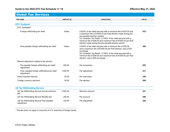# <span id="page-17-0"></span>**Guide to the 2022 DTC Fee Schedule >> 14 Effective May 31, 2022**

# Global Tax Services

| <b>FEE NAME</b>                                            | AMOUNT (\$) | <b>CONDITIONS</b>                                                                                                                                                                                                                                                                                                                                       | FEE ID |
|------------------------------------------------------------|-------------|---------------------------------------------------------------------------------------------------------------------------------------------------------------------------------------------------------------------------------------------------------------------------------------------------------------------------------------------------------|--------|
| <b>DTC TaxRelief</b>                                       |             |                                                                                                                                                                                                                                                                                                                                                         |        |
| DTC TaxReliefsm                                            |             |                                                                                                                                                                                                                                                                                                                                                         |        |
| Foreign withholding tax relief                             | Varies      | 0.625% of tax relief secured with a minimum fee of \$32.00 and<br>a maximum fee of \$1000.00 per final election made during the<br>pre-payable election window<br>On Canadian Tax Relief - 0.700% of tax relief secured with a<br>minimum fee of \$38.00 and maximum fee of \$1000.00 per final<br>election made during the pre-payable election period | 432    |
| Post-payable foreign withholding tax relief                | Varies      | 0.625% of tax relief secured with a minimum fee of \$32.00<br>and a maximum fee of \$1000.00 per final election, plus a \$25<br>surcharge<br>On Canadian Tax Relief - 0.700% of tax relief secured with a<br>minimum fee of \$38.00 and maximum fee of \$1000.00 per final<br>election, plus a \$25 surcharge                                           | 366    |
| Manual adjustment related to tax service                   |             |                                                                                                                                                                                                                                                                                                                                                         |        |
| Pre-payable foreign withholding tax relief<br>adjustment   | 300.00      | Per transaction                                                                                                                                                                                                                                                                                                                                         | 655    |
| Post- payable foreign withholding tax relief<br>adjustment | 1,000.00    | Per adjustment                                                                                                                                                                                                                                                                                                                                          | 431    |
| <b>Direct Payment Service</b>                              | 30.00       | Per instruction                                                                                                                                                                                                                                                                                                                                         | 346    |
| Foreign currency payment                                   | 30.00       | Per election                                                                                                                                                                                                                                                                                                                                            | 589    |

| <b>PO TUA THEIR DIGHTS OUT TIOU</b>                           |          |                |     |
|---------------------------------------------------------------|----------|----------------|-----|
| US Tax Withholding Service Annual minimum<br>fee <sup>1</sup> | 7.500.00 | Minimum amount | 541 |
| US Tax Withholding Service Monthly fee                        | 250.00   | Per account    | 299 |
| US Tax Withholding Service Post-payable<br>adjustment         | 100.00   | Per adjustment | 300 |

<sup>1</sup> This fee does not apply to accounts of U.S. branches of foreign banks.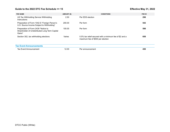# <span id="page-18-0"></span>**Guide to the 2022 DTC Fee Schedule >> 15 Effective May 31, 2022**

| <b>FEE NAME</b>                                                                                 | AMOUNT (\$) | <b>CONDITIONS</b>                                                                            | FEE ID |
|-------------------------------------------------------------------------------------------------|-------------|----------------------------------------------------------------------------------------------|--------|
| US Tax Withholding Service Withholding<br>Instructions                                          | 2.50        | Per EDS election                                                                             | 298    |
| Preparation of Form 1042-S "Foreign Person's<br>U.S. Source Income Subject to Withholding"      | 200.00      | Per form                                                                                     | 542    |
| Preparation of Form 2439 "Notice to<br>Shareholder of Undistributed Long Term Capital<br>Gains" | 100.00      | Per form                                                                                     | 598    |
| Section 302, tax withholding elections                                                          | Varies      | 0.5% tax relief secured with a minimum fee of \$2 and a<br>maximum fee of \$500 per election | 658    |
| <b>Tax Event Announcements</b>                                                                  |             |                                                                                              |        |
| <b>Tax Event Announcement</b>                                                                   | 12.00       | Per announcement                                                                             | 450    |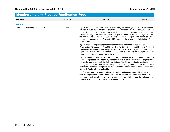### <span id="page-19-0"></span>Membership and Pledgee Application Fees **FEE NAME AMOUNT (\$) CONDITIONS FEE ID General** Non-U.S. Entity Legal Opinion Fee Varies Varies (a) For the initial applicant ("Initial Applicant") organized in a given non-U.S. jurisdiction ("Jurisdiction of Organization") to apply for DTC membership on or after July 2, 2018, if the applicant does not otherwise terminate its application in accordance with (c) below: The lesser of (i) a maximum estimated charge ("Maximum Estimated Charge") and (ii) the actual costs charged to DTC, by outside counsel to DTC providing a legal opinion in form and substance satisfactory to DTC regarding the laws of the Jurisdiction of Organization. (b) For each subsequent applicant organized in the applicable Jurisdiction of Organization ("Subsequent Non-U.S. Applicant"), if the Subsequent Non-U.S. Applicant does not otherwise terminate its application in accordance with (c) below: an amount equal to the fee charged to the Initial Applicant from the Jurisdiction of Organization, as determined in accordance with (a) above. (c) The Non-U.S. Legal Opinion Fee is non-refundable regardless of the outcome of the application process (i.e., approval, disapproval or expiration); however, an applicant will not be charged a Non-U.S. Entity Legal Opinion Fee if it terminates its application in writing within five business days of being notified in writing by DTC of the amount of the Maximum Estimated Charge (for an Initial Applicant), or fee amount (for a Subsequent Non-U.S. Applicant), as applicable. (d) If the applicant does not terminate its application in accordance with (c) above, then the applicant will be billed the applicable fee amount as determined by DTC in accordance with the above, with full payment due within 10 business days of receipt of an invoice from DTC, including payment instructions.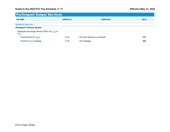# <span id="page-20-0"></span>Participant Output Services

| <b>FEE NAME</b>                                                                                                                        | AMOUNT (\$)                             | <b>CONDITIONS</b>              | FEE ID |
|----------------------------------------------------------------------------------------------------------------------------------------|-----------------------------------------|--------------------------------|--------|
| <b>Network Services</b><br>Pa'<br><b>PBS: Participant Browser Service</b><br><b>LOFF: Letter of Free Funds</b><br>$\sim$<br><b>PBS</b> | <b>PTS: Participant Terminal System</b> |                                |        |
| <b>IVOR: Investor's Voluntary Redemption</b><br>Transmit                                                                               |                                         | Per form delivered or received | 151    |
| Transmit <b>IVOR</b> message                                                                                                           | 0.18                                    | Per message                    | 322    |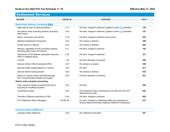# <span id="page-21-0"></span>Settlement Services

| <b>FEE NAME</b>                                                                         | <b>MMI: money market instrument</b> | <b>CONDITIONS</b>                                                                                                          | FEE ID                          |
|-----------------------------------------------------------------------------------------|-------------------------------------|----------------------------------------------------------------------------------------------------------------------------|---------------------------------|
| <b>Book-Entry Delivery, Excluding MMIs</b>                                              |                                     |                                                                                                                            | <b>DO: deliver order</b>        |
| Night deliver order (including reclaims)                                                | 0.17                                | Per item; charged to deliverer; applies to each                                                                            | <b>DO:</b> deliver order<br>148 |
| Day deliver order (including reclaims; excluding<br>stock loans)                        | 0.40                                | Per item; charged to deliverer; applies to each DO submitted                                                               | 147                             |
| Repos, stock loans and returns                                                          | 0.18                                | Per item; charged to deliverer and receiver                                                                                | 652                             |
| <b>Matched Institutional Transactions</b>                                               | 0.04                                | Per receive or delivery                                                                                                    | 396                             |
| ID Net receive or delivery                                                              | 0.02                                | Per receive or delivery                                                                                                    | 665                             |
| Receive, regardless of time (including reclaims;<br>excluding stock loans and returns)  | 0.11                                | Per item; charged to receiver                                                                                              | 182                             |
| Submission of DO between participant accounts<br>within a collateral group              | 0.30                                | Per item, charged to deliverer                                                                                             | 237                             |
| Fed DO                                                                                  | 1.50                                | Per item delivered or received                                                                                             | 586                             |
| Delivery to/from CNS (including ACATS)                                                  | 0.07                                | Per delivery or receive                                                                                                    | 390                             |
| Security holder tracking delivery or receive                                            | 5.00                                | Per item                                                                                                                   | 677                             |
| Security holder tracking reclaim                                                        | 5.00                                | Per receive or delivery                                                                                                    | 678                             |
| Deliver or receive of item submitted through<br>DTC-Deutsche Börse facility (surcharge) | 3.65                                | Per item delivered or received                                                                                             | 401                             |
| <b>Deliver order exception processing</b>                                               |                                     |                                                                                                                            |                                 |
| Hold, cancel or release of pending DO that is<br>recycling for insufficient position    | 0.24                                | Per item                                                                                                                   | 292                             |
| Customized recycle                                                                      | 0.04                                | Per transaction that is processed out of order from the DTC<br>default recycle order                                       | 592                             |
| Override of Delivery Instruction to CNS                                                 | 0.45                                | Per item; charged to deliverer                                                                                             | 605                             |
| DTC Settlement Status Messages                                                          | 90,000.00                           | Per year; charged to a Matching Utility that subscribes to<br>receive Status Information relating to Affirmed Transactions | 473                             |
| <b>Canadian Dollar Settlement</b>                                                       |                                     |                                                                                                                            |                                 |
| Canadian dollar settlement                                                              | 2.00                                | Per settlement instruction                                                                                                 | 637                             |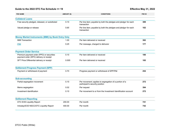# <span id="page-22-0"></span>**Guide to the 2022 DTC Fee Schedule >> 19 Effective May 31, 2022**

| <b>FEE NAME</b>                                                                                                              | AMOUNT (\$) | <b>CONDITIONS</b>                                                                         | FEE ID |
|------------------------------------------------------------------------------------------------------------------------------|-------------|-------------------------------------------------------------------------------------------|--------|
| <b>Collateral Loans</b>                                                                                                      |             |                                                                                           |        |
| Free security pledged, released, or substituted                                                                              | 0.10        | Per line item; payable by both the pledgee and pledgor for each<br>transaction            | 399    |
| Valued pledge or release<br><b>PIM: Pre-Issuance Messaging: Communication</b><br>message between an issuing/paying agent and | 0.65        | Per line item; payable by both the pledgee and pledgor for each<br>transaction            | 102    |
| M<br>a dealer that details the terms and conditions of                                                                       | <b>Dnly</b> |                                                                                           |        |
| an MMI before it is issued to the market                                                                                     | 1.00        | Per item delivered or received                                                            | 392    |
| <b>PIM</b>                                                                                                                   | 0.25        | Per message, charged to deliverer                                                         | 177    |
| <b>Payment Order Service</b>                                                                                                 |             |                                                                                           |        |
| Premium payment order (PPO) or securities<br>payment order (SPO) delivery or receipt                                         | 0.10        | Per item delivered or received                                                            | 186    |
| SFT Price Differential delivery or receipt                                                                                   | 0.005       | Per item delivered or received                                                            | 185    |
| <b>Settlement Progress Payment (SPP)</b>                                                                                     |             |                                                                                           |        |
| Payment or withdrawal of payment                                                                                             | 0.70        | Progress payment or withdrawal of SPP/P&I                                                 | 254    |
| <b>Sub-accounting</b>                                                                                                        |             |                                                                                           |        |
| Partial segregation movement                                                                                                 | 0.10        | Per movement; applies to segregation of a portion of a<br>participant's security position | 272    |
| Memo segregation                                                                                                             | 0.02        | Per request                                                                               | 394    |
| Investment identification                                                                                                    | 0.10        | Per movement to or from the Investment Identification account                             | 272    |
| <b>Settlement Reporting</b>                                                                                                  |             |                                                                                           |        |
| DTC EOD Liquidity Report                                                                                                     | 200.00      | Per month                                                                                 | 741    |
| Intraday/EOD NSCC/DTC Liquidity Report                                                                                       | 400.00      | Per month                                                                                 | 742    |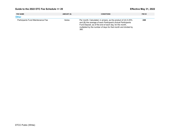# <span id="page-23-0"></span>**Guide to the 2022 DTC Fee Schedule >> 20 Effective May 31, 2022**

| <b>FEE NAME</b>                   | AMOUNT (\$) | <b>CONDITIONS</b>                                                                                                                                                                                                                                                    | FEE ID |
|-----------------------------------|-------------|----------------------------------------------------------------------------------------------------------------------------------------------------------------------------------------------------------------------------------------------------------------------|--------|
| <b>Other</b>                      |             |                                                                                                                                                                                                                                                                      |        |
| Participants Fund Maintenance Fee | Varies      | Per month; Calculated, in arrears, as the product of (A) 0.25%<br>and (B) the average of each Participant's Actual Participants<br>Fund Deposit, as of the end of each day, for the month,<br>multiplied by the number of days for that month and divided by<br>360. | 248    |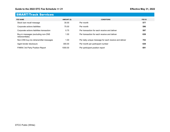# <span id="page-24-0"></span>SMART/Track Services

| <b>FEE NAME</b>                                       | AMOUNT (\$) | <b>CONDITIONS</b>                                     | FEE ID |
|-------------------------------------------------------|-------------|-------------------------------------------------------|--------|
| Stock loan recall message                             | 30.00       | Per month                                             | 577    |
| Corporate actions liabilities                         | 75.00       | Per month                                             | 596    |
| Corporate actions liabilities transaction             | 0.75        | Per transaction for each receive and deliver          | 597    |
| Buy-in messages (excluding non-CNS<br>retransmittals) | 1.00        | Per transaction for each receive and deliver          | 638    |
| Non-CNS buy-ins retransmittal messages                | 1.00        | Per daily unique message for each receive and deliver | 703    |
| Agent lender disclosure                               | 300.00      | Per month per participant number                      | 639    |
| FINRA/ 3rd Party Position Report                      | 1000.00     | Per participant position report                       | 691    |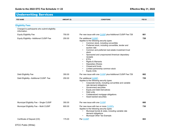# <span id="page-25-0"></span>Underwriting Services

| <b>FEE NAME</b>                                                | AMOUNT (\$) | <b>CONDITIONS</b>                                                                                                                                                                                                                                                                                                                                          | FEE ID                    |
|----------------------------------------------------------------|-------------|------------------------------------------------------------------------------------------------------------------------------------------------------------------------------------------------------------------------------------------------------------------------------------------------------------------------------------------------------------|---------------------------|
| <b>Eligibility Fees</b>                                        |             | <b>CUSIP: Committee on Uniform Securities</b>                                                                                                                                                                                                                                                                                                              |                           |
| Charged to participants who submit eligibility<br>information. |             | <b>CUSIP: Committee on Uniform Securities</b><br><b>Identification Procedures; CUSIP number refers to</b>                                                                                                                                                                                                                                                  | fers to<br>ecurity        |
| <b>Equity Eligibility Fee</b>                                  | 750.00      | a nine-character unique identifier for each security<br>Per new issue                                                                                                                                                                                                                                                                                      | 661                       |
| Equity Eligibility-Additional CUSIP Fee                        | 250.00      | Per additional CUSIP;<br>Applies to the following security types:<br>Common stock, including convertible<br>Preferred stock, including convertible, tender and<br>auction rate<br>Common and preferred real estate investment trust<br>stock<br>Sponsored and unsponsored American depositary<br>receipts<br><b>ETFs</b><br>$\bullet$<br>Rights & Warrants | 728                       |
| Debt Eligibility Fee                                           | 350.00      | Depositary Shar<br>Closed-end fund CUSIP: Committee on Uniform Securities<br>Limite CUSIP: Committee on Uniform Securities<br>Equity<br><b>Identification Procedures; CUSIP number refers to</b><br>a nine-character unique identifier for each security<br>Per new issue                                                                                  | fers to<br>ecurity<br>662 |
| Debt Eligibility-Additional CUSIP Fee                          | 250.00      | Per additional CUSIP;<br>Applies to the following security types:<br>Corporate bonds, including convertible and variable<br>rate demand obligations<br>Government securities<br>$\bullet$<br><b>Equity and Debt Derivatives</b><br>Debt units<br><b>CUSIP: Committee on Uniform Securities</b>                                                             | 729                       |
|                                                                |             | Collateralized m<br>ldenti<br>Asset backed se<br><b>CUSIP: Committee on Uniform Securities</b><br>a nine<br><b>Identification Procedures; CUSIP number refers to</b><br>a nine-character unique identifier for each security                                                                                                                               |                           |
| Municipal Eligibility Fee - Single CUSIP                       | 350.00      | Per new issue with one CUSIP                                                                                                                                                                                                                                                                                                                               |                           |
| Municipal Eligibility Fee - Multi CUSIP                        | 800.00      | Per new issue with two or more CUSIPs<br>Appl<br><b>CUSIP: Committee on Uniform Securities</b><br><b>Identification Procedures; CUSIP number refers to</b><br>a nine-character unique identifier for each security                                                                                                                                         | 730                       |
| Certificate of Deposit (CD)                                    | 175.00      | Per CUSIP                                                                                                                                                                                                                                                                                                                                                  | 663                       |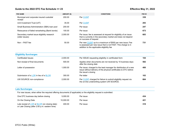|  |  |  | Guide to the 2022 DTC Fee Schedule >> 23 |  |
|--|--|--|------------------------------------------|--|
|--|--|--|------------------------------------------|--|

| <b>FEE NAME</b>                                               | AMOUNT (\$) | <b>CUSIP: Committee on Uniform Securities</b>                                                                                                                                                            | FEE ID |  |
|---------------------------------------------------------------|-------------|----------------------------------------------------------------------------------------------------------------------------------------------------------------------------------------------------------|--------|--|
| Municipal and corporate insured custodial<br>receipt          | 200.00      | <b>Identification Procedures: CUSIP number refers to</b><br>Per<br>a nine-character unique identifier for each security                                                                                  | 339    |  |
| Unit Investment Trust (UIT)                                   | 35.00       | Per CUSIP                                                                                                                                                                                                | 293    |  |
| Small Business Administration (SBA) loan pool                 | 200.00      | Per issue                                                                                                                                                                                                | 247    |  |
| Reissuance of failed remarketing (Bank bonds)                 | 100.00      | Per issue                                                                                                                                                                                                | 673    |  |
| Secondary market issue eligibility research<br>(older issues) | 2,000.00    | <b>CUSIP: Committee on Uniform Securities</b><br>Per issue<br><b>Identification Procedures; CUSIP number refers to</b><br>that is cu<br>a nine-character unique identifier for each security<br>on succe | 683    |  |
| Non - FAST fee                                                | 50.00       | Per new CUSIP up to a maximum of \$500 per new issue; Fee<br>is assessed per new issue that is not FAST. This charge is in<br>addition to the applicable eligibility fee                                 | 731    |  |
| <b>Eligibility Surcharges</b>                                 |             |                                                                                                                                                                                                          |        |  |
| <b>Certificated Issues</b>                                    | 2,000.00    | Per ISSUE requesting eligibility in certificated form                                                                                                                                                    | 104    |  |
| Non-receipt of final documents                                | 500.00      | Applies when documents are not received by 10 business days<br>after the closing date                                                                                                                    | 582    |  |
| atter of nossession                                           | 1.000.00    | Par issue: charged to the lead manager for distribution of a new                                                                                                                                         | 400.   |  |

<span id="page-26-0"></span>

| Guide to the 2022 DTC Fee Schedule >> 23                      |             |                                     | <b>CUSIP: Committee on Uniform Securities</b><br><b>Identification Procedures: CUSIP number refers to</b>                                                                | <b>Ective May 31, 2022</b> |
|---------------------------------------------------------------|-------------|-------------------------------------|--------------------------------------------------------------------------------------------------------------------------------------------------------------------------|----------------------------|
| <b>FEE NAME</b>                                               | AMOUNT (\$) |                                     | <b>CUSIP: Committee on Uniform Securities</b>                                                                                                                            | FEE ID                     |
| Municipal and corporate insured custodial<br>receipt          | 200.00      | Per                                 | <b>Identification Procedures: CUSIP number refers to</b><br>a nine-character unique identifier for each security                                                         | 339                        |
| Unit Investment Trust (UIT)                                   | 35.00       | <b>Per CUSIP</b>                    |                                                                                                                                                                          | 293                        |
| Small Business Administration (SBA) loan pool                 | 200.00      | Per issue                           |                                                                                                                                                                          | 247                        |
| Reissuance of failed remarketing (Bank bonds)                 | 100.00      | Per issue                           |                                                                                                                                                                          | 673                        |
| Secondary market issue eligibility research<br>(older issues) | 2.000.00    | Per issue<br>that is cu<br>on succe | <b>CUSIP: Committee on Uniform Securities</b><br><b>Identification Procedures; CUSIP number refers to</b><br>a nine-character unique identifier for each security        | 683                        |
| Non - FAST fee                                                | 50.00       |                                     | Per new CUSIP up to a maximum of \$500 per new issue; Fee<br>is assessed per new issue that is not FAST. This charge is in<br>addition to the applicable eligibility fee | 731                        |

| <b>Eligibility Surcharges</b>         |                                                               |                                                                                                                |     |
|---------------------------------------|---------------------------------------------------------------|----------------------------------------------------------------------------------------------------------------|-----|
| Certificated Issues                   | 2.000.00                                                      | Per ISSUE requesting eligibility in certificated form                                                          | 104 |
| Non-receipt of final documents        | 500.00                                                        | Applies when documents are not received by 10 business days<br>after the closing date                          | 582 |
| Letter of possession                  | 1.000.00                                                      | Per jecular charned to the lead manager for dietribution of a new                                              | 400 |
|                                       | <b>LOR: letter of BLOR: blanket letter of representations</b> | <b>NUSIP: Committee on Uniform Securities</b><br><b>dentification Procedures; CUSIP number refers to</b>       |     |
| Submission of a LOR in lieu of a BLOR | 300.00                                                        | a nine-character unique identifier for each security<br>Per                                                    | 163 |
| UW SOURCE non-compliance              | 2.000.00                                                      | Per CUSIP, charged for failure to submit eligibility request via<br>the on-line underwriting system UW SOURCE. | 664 |

### **Late Surcharges**

For new issues, when either the required offering documents (if applicable) or the eligibility request is submitted:

| One DTC business day before closing<br>5 NUU UU                                                     |        | Per issue | 434 |
|-----------------------------------------------------------------------------------------------------|--------|-----------|-----|
| On the Closing LOR: BLOR: blanket letter of representations                                         |        | Per issue | 421 |
| Late receipt of $LOR$ or $BLOR$ (on closing date)<br>or Late Closing (after 2:00 p.m. eastern time) | 400.00 | Per issue | 318 |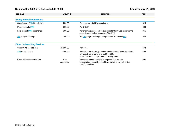# <span id="page-27-0"></span>**Guide to the 2022 DTC Fee Schedule >> 24 Effective May 31, 2022**

| <b>FEE NAME</b>                                            | AMOUNT (\$) | <b>CONDITIONS</b>                                                                                                 | FEE ID                           |
|------------------------------------------------------------|-------------|-------------------------------------------------------------------------------------------------------------------|----------------------------------|
| <b>MMI: money market instrument</b>                        |             |                                                                                                                   |                                  |
| <b>Money Market</b><br><b>MMI: money market instrument</b> |             |                                                                                                                   |                                  |
| Submission (<br><b>MMI: money market instrument</b>        | 250.00      | Per program eligibility submission                                                                                | 316                              |
|                                                            | 300.00      | Per $O^{1121}$                                                                                                    | ---                              |
| <b>IPA: issuing/paying agent</b>                           | 300.00      | <b>IPA: issuing/paying agent</b><br>Per<br><i>l</i> ilitv form was r<br>same day as the first issuance of the MMI | <b>IPA: issuing/paying agent</b> |
| <b>IPA program change</b>                                  | 250.00      | Per IPA program change; charged once to the new IPA                                                               | 583                              |

| O IPO: initial public offering |                     |                                                                                                                                                                  |     |
|--------------------------------|---------------------|------------------------------------------------------------------------------------------------------------------------------------------------------------------|-----|
| Security noiger tracking       | 25,000.00           | Per issue                                                                                                                                                        | 674 |
| <b>IPO</b> tracked issue       | 5.000.00            | Per issue, per 30-day period or portion thereof that a new issue<br>is tracked, up to a maximum of \$15,000.<br>Note: This fee is not prorated on a daily basis. | 323 |
| Consultation/Research Fee      | To be<br>negotiated | Expenses related to eligibility requests that require<br>consultation, research, use of third parties or any other deal-<br>specific handling.                   | 297 |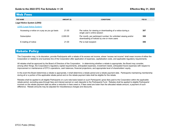<span id="page-28-0"></span>

| G         | LENS: Legal Notice System: a repository of notices published by third-party public or private agents<br>and agencies that report non-settlement information about DTC-eligible securities. You can access the<br>following types of notices:<br>Legal notices: Notices to security holders, bankruptcy, default, litigation/class action, letter of credit |          |                                                                                                                | Effective May 31, 2022 |
|-----------|------------------------------------------------------------------------------------------------------------------------------------------------------------------------------------------------------------------------------------------------------------------------------------------------------------------------------------------------------------|----------|----------------------------------------------------------------------------------------------------------------|------------------------|
| F.<br>Lε. | substitution and cost basis<br>Tax information: Notices on the taxable status of domestic equities<br><b>LENS (Legal Notice System)</b>                                                                                                                                                                                                                    |          | Transfer agent: Notices informing the industry about a corporation's decision to change its transfer agent     | FEE ID                 |
|           | Accessing a notice on a pay as you go basis                                                                                                                                                                                                                                                                                                                | 21.00    | Per notice; for viewing or downloading of a notice during a<br>single user's online session                    | 307                    |
|           | Subscription                                                                                                                                                                                                                                                                                                                                               | 2.000.00 | Per month, per participant number; for unlimited viewing and/or<br>downloading of notices by one or more users | 308                    |
|           | E-mailing of notice                                                                                                                                                                                                                                                                                                                                        | 21.00    | Per e-mail recipient                                                                                           | 306                    |

# Rebate Policy

The Corporation may, in its discretion, provide Participants with a rebate of its excess net income, where "excess net income" shall mean income of either the Corporation or related to one business line of the Corporation after application of expenses, capitalization costs, and applicable regulatory requirements.

All rebates shall be approved by the Board of Directors of the Corporation. In determining whether a rebate is appropriate, the Board may consider, among other things, the Corporation's regulatory capital requirements, anticipated expenses, investment needs, anticipated future expenses with respect to improvement or maintenance of DTC's operations, cash balances, financial projections, and appropriate level of shareholders' equity.

In the event the Board determines a rebate is appropriate, it shall determine a rebate period and a rebate payment date. Participants maintaining membership during all or a portion of the applicable rebate period and on the rebate payment date shall be eligible for the rebate.

Rebates shall be applied to all eligible Participants on a pro-rata basis based on such Participants' gross fees paid to the Corporation within the applicable rebate period, excluding pass-through fees and interest earned on cash deposits to the Participants Fund. Rebates shall be applied to eligible Participants' invoices on the rebate payment date as either a reduction in fees owed or, if fees owed are lower than the allocated rebate amount, a payment of such difference. Rebate amounts may be adjusted for miscellaneous charges and discounts.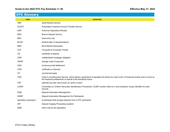# <span id="page-29-0"></span>DTC Glossary

| <b>TERM</b>            | <b>DEFINITION</b>                                                                                                                                                                                        |
|------------------------|----------------------------------------------------------------------------------------------------------------------------------------------------------------------------------------------------------|
| <b>ABS</b>             | asset-backed security                                                                                                                                                                                    |
| <b>ACATS</b>           | Automated Customer Account Transfer Service                                                                                                                                                              |
| <b>ADR</b>             | American Depositary Receipt                                                                                                                                                                              |
| <b>BDS</b>             | <b>Branch Deposit Service</b>                                                                                                                                                                            |
| <b>BEO</b>             | book entry only                                                                                                                                                                                          |
| <b>BLOR</b>            | blanket letter of representations                                                                                                                                                                        |
| <b>BMA</b>             | <b>Bond Market Association</b>                                                                                                                                                                           |
| <b>CCF</b>             | <b>Computer-to-Computer Facility</b>                                                                                                                                                                     |
| CD                     | certificate of deposit                                                                                                                                                                                   |
| <b>CMO</b>             | collateralized mortgage obligation                                                                                                                                                                       |
| <b>CMOP</b>            | change mode of payment                                                                                                                                                                                   |
| <b>CNS</b>             | <b>Continuous Net Settlement</b>                                                                                                                                                                         |
| COD                    | certificate on demand                                                                                                                                                                                    |
| <b>CP</b>              | commercial paper                                                                                                                                                                                         |
| <b>CRS</b>             | Cash-in-Lieu/Roundup Service, which allows a participant to liquidate full shares for cash-in-lieu of fractional shares and to round up<br>the fractional entitlements on behalf of the beneficial owner |
| <b>CRT</b>             | cathode-ray tube; also known as "green screen"                                                                                                                                                           |
| <b>CUSIP</b>           | Committee on Uniform Securities Identification Procedures; CUSIP number refers to a nine-character unique identifier for each<br>security                                                                |
| <b>DAM</b>             | <b>Deposit Automation Management</b>                                                                                                                                                                     |
| <b>DAMP</b>            | Deposit Automation Management for Participants                                                                                                                                                           |
| depository participant | A participant that accepts deposits from a DTC participant                                                                                                                                               |
| <b>DIP</b>             | Deposit Imaging Processing (system)                                                                                                                                                                      |
| <b>DMD</b>             | direct mail by the depository                                                                                                                                                                            |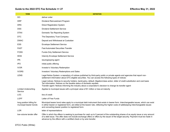# **Guide to the 2022 DTC Fee Schedule >> 27 Effective May 31, 2022**

| <b>TERM</b>                                         | <b>DEFINITION</b>                                                                                                                                                                                                                                                                                                                                  |
|-----------------------------------------------------|----------------------------------------------------------------------------------------------------------------------------------------------------------------------------------------------------------------------------------------------------------------------------------------------------------------------------------------------------|
| DO                                                  | deliver order                                                                                                                                                                                                                                                                                                                                      |
| <b>DRP</b>                                          | Dividend Reinvestment Program                                                                                                                                                                                                                                                                                                                      |
| <b>DRS</b>                                          | <b>Direct Registration System</b>                                                                                                                                                                                                                                                                                                                  |
| <b>DSS</b>                                          | Dividend Settlement Service                                                                                                                                                                                                                                                                                                                        |
| <b>DTAX</b>                                         | Domestic Tax Reporting System                                                                                                                                                                                                                                                                                                                      |
| <b>DTC</b>                                          | The Depository Trust Company                                                                                                                                                                                                                                                                                                                       |
| <b>DWAC</b>                                         | Deposit and Withdrawal at Custodian                                                                                                                                                                                                                                                                                                                |
| <b>ESS</b>                                          | <b>Envelope Settlement Service</b>                                                                                                                                                                                                                                                                                                                 |
| <b>FAST</b>                                         | <b>Fast Automated Securities Transfer</b>                                                                                                                                                                                                                                                                                                          |
| <b>FOSS</b>                                         | <b>Funds-Only Settlement Service</b>                                                                                                                                                                                                                                                                                                               |
| <b>IESS</b>                                         | <b>Intercity Envelope Settlement Service</b>                                                                                                                                                                                                                                                                                                       |
| <b>IPA</b>                                          | issuing/paying agent                                                                                                                                                                                                                                                                                                                               |
| <b>IPO</b>                                          | initial public offering                                                                                                                                                                                                                                                                                                                            |
| <b>IVOR</b>                                         | Investor's Voluntary Redemption                                                                                                                                                                                                                                                                                                                    |
| <b>IVORS</b>                                        | Investors' Voluntary Redemptions and Sales                                                                                                                                                                                                                                                                                                         |
| <b>LENS</b>                                         | Legal Notice System: a repository of notices published by third-party public or private agents and agencies that report non-<br>settlement information about DTC-eligible securities. You can access the following types of notices:                                                                                                               |
|                                                     | Legal notices: Notices to security holders, bankruptcy, default, litigation/class action, letter of credit substitution and cost basis<br>Tax information: Notices on the taxable status of domestic equities<br>Transfer agent: Notices informing the industry about a corporation's decision to change its transfer agent                        |
| <b>Limited Underwriting</b><br>Service              | Applies to municipal issues with a principal value of \$1 million or less at maturity                                                                                                                                                                                                                                                              |
| <b>LOC</b>                                          | line of credit                                                                                                                                                                                                                                                                                                                                     |
| <b>LOFF</b>                                         | Letter of Free Funds                                                                                                                                                                                                                                                                                                                               |
| long position billing for<br>municipal bearer bonds | Municipal bearer bond rates apply to a municipal debt instrument that exists in bearer form. Interchangeable issues, which can exist<br>in either bearer or registered form, are billed at the bearer rate, reflecting the higher costs of safekeeping interchangeable issues<br>and converting bearer position to registered form.                |
| <b>LOR</b>                                          | letter of representations                                                                                                                                                                                                                                                                                                                          |
| low-volume tender offer                             | Offer in which the offeror is seeking to purchase for cash up to 5 percent of the outstanding shares of an equity issue or any amount<br>of a debt issue. The offer does not include exchange offers or offers by the issuer of the target security. Payment must be made in<br>advance by the offeror with a certified check or by wire transfer. |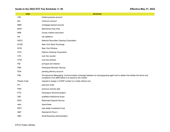# **Guide to the 2022 DTC Fee Schedule >> 28 Effective May 31, 2022**

| <b>TERM</b> | <b>DEFINITION</b>                                                                                                                                                               |
|-------------|---------------------------------------------------------------------------------------------------------------------------------------------------------------------------------|
| <b>LPA</b>  | limited-purpose account                                                                                                                                                         |
| MA          | minimum amount                                                                                                                                                                  |
| <b>MBS</b>  | mortgage-backed security                                                                                                                                                        |
| <b>MDH</b>  | Mainframe Dual Host                                                                                                                                                             |
| MMI         | money market instrument                                                                                                                                                         |
| <b>NA</b>   | net additions                                                                                                                                                                   |
| <b>NSCC</b> | National Securities Clearing Corporation                                                                                                                                        |
| <b>NYSE</b> | New York Stock Exchange                                                                                                                                                         |
| <b>NYW</b>  | New York Window                                                                                                                                                                 |
| OCC         | <b>Options Clearing Corporation</b>                                                                                                                                             |
| <b>OTC</b>  | over the counter                                                                                                                                                                |
| <b>OTW</b>  | over-the-window                                                                                                                                                                 |
| P&I         | principal and interest                                                                                                                                                          |
| <b>PBS</b>  | <b>Participant Browser Service</b>                                                                                                                                              |
| <b>PDA</b>  | pending delivery account                                                                                                                                                        |
| PIM         | Pre-Issuance Messaging: Communication message between an issuing/paying agent and a dealer that details the terms and<br>conditions of an MMI before it is issued to the market |
| Please Code | request to assign a CUSIP number to a trade without one                                                                                                                         |
| PO          | payment order                                                                                                                                                                   |
| <b>PRS</b>  | previous reverse split                                                                                                                                                          |
| <b>PTS</b>  | Participant Terminal System                                                                                                                                                     |
| QIB         | qualified institutional buyer                                                                                                                                                   |
| <b>RDS</b>  | <b>Restricted Deposit Service</b>                                                                                                                                               |
| repo        | repurchase                                                                                                                                                                      |
| <b>REIT</b> | real estate investment trust                                                                                                                                                    |
| S&P         | Standard & Poor's                                                                                                                                                               |
| <b>SBA</b>  | <b>Small Business Administration</b>                                                                                                                                            |